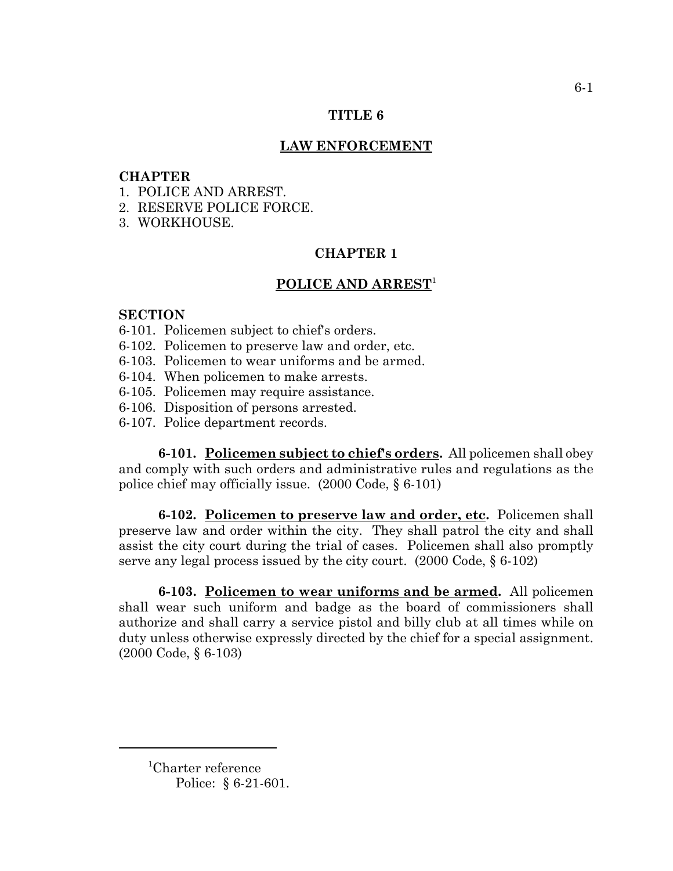## **TITLE 6**

## **LAW ENFORCEMENT**

## **CHAPTER**

- 1. POLICE AND ARREST.
- 2. RESERVE POLICE FORCE.
- 3. WORKHOUSE.

# **CHAPTER 1**

# **POLICE AND ARREST**<sup>1</sup>

# **SECTION**

- 6-101. Policemen subject to chief's orders.
- 6-102. Policemen to preserve law and order, etc.
- 6-103. Policemen to wear uniforms and be armed.
- 6-104. When policemen to make arrests.
- 6-105. Policemen may require assistance.
- 6-106. Disposition of persons arrested.
- 6-107. Police department records.

**6-101. Policemen subject to chief's orders.** All policemen shall obey and comply with such orders and administrative rules and regulations as the police chief may officially issue. (2000 Code, § 6-101)

**6-102. Policemen to preserve law and order, etc.** Policemen shall preserve law and order within the city. They shall patrol the city and shall assist the city court during the trial of cases. Policemen shall also promptly serve any legal process issued by the city court. (2000 Code, § 6-102)

**6-103. Policemen to wear uniforms and be armed.** All policemen shall wear such uniform and badge as the board of commissioners shall authorize and shall carry a service pistol and billy club at all times while on duty unless otherwise expressly directed by the chief for a special assignment. (2000 Code, § 6-103)

<sup>1</sup> Charter reference Police: § 6-21-601.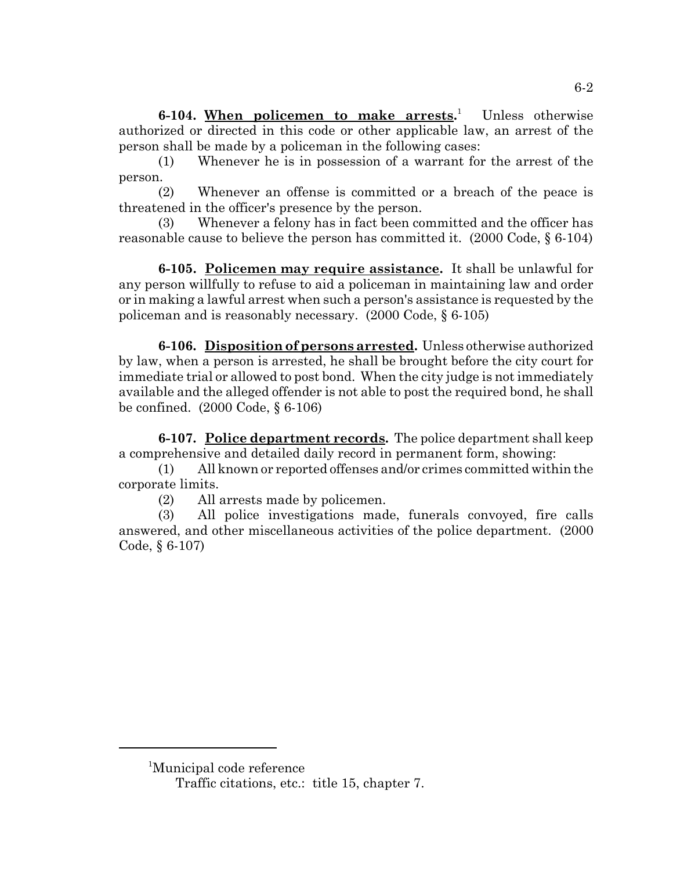**6-104. When policemen to make arrests.** 1 Unless otherwise authorized or directed in this code or other applicable law, an arrest of the person shall be made by a policeman in the following cases:

(1) Whenever he is in possession of a warrant for the arrest of the person.

(2) Whenever an offense is committed or a breach of the peace is threatened in the officer's presence by the person.

(3) Whenever a felony has in fact been committed and the officer has reasonable cause to believe the person has committed it. (2000 Code, § 6-104)

**6-105. Policemen may require assistance.** It shall be unlawful for any person willfully to refuse to aid a policeman in maintaining law and order or in making a lawful arrest when such a person's assistance is requested by the policeman and is reasonably necessary. (2000 Code, § 6-105)

**6-106. Disposition of persons arrested.** Unless otherwise authorized by law, when a person is arrested, he shall be brought before the city court for immediate trial or allowed to post bond. When the city judge is not immediately available and the alleged offender is not able to post the required bond, he shall be confined. (2000 Code, § 6-106)

**6-107. Police department records.** The police department shall keep a comprehensive and detailed daily record in permanent form, showing:

(1) All known or reported offenses and/or crimes committed within the corporate limits.

(2) All arrests made by policemen.

(3) All police investigations made, funerals convoyed, fire calls answered, and other miscellaneous activities of the police department. (2000 Code, § 6-107)

<sup>1</sup> Municipal code reference

Traffic citations, etc.: title 15, chapter 7.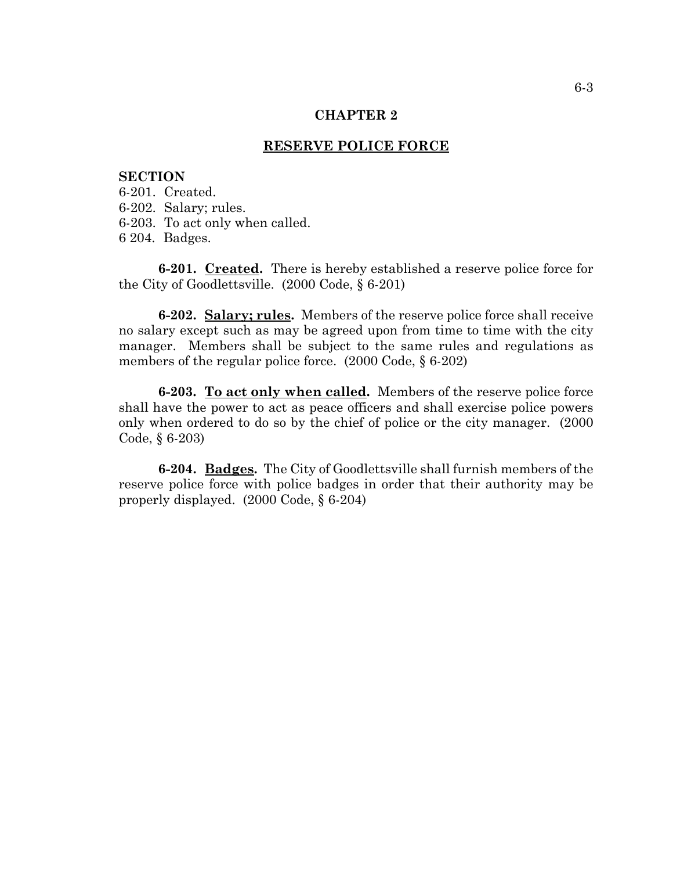#### **CHAPTER 2**

## **RESERVE POLICE FORCE**

## **SECTION**

- 6-201. Created.
- 6-202. Salary; rules.
- 6-203. To act only when called.
- 6 204. Badges.

**6-201. Created.** There is hereby established a reserve police force for the City of Goodlettsville. (2000 Code, § 6-201)

**6-202. Salary; rules.** Members of the reserve police force shall receive no salary except such as may be agreed upon from time to time with the city manager. Members shall be subject to the same rules and regulations as members of the regular police force. (2000 Code, § 6-202)

**6-203. To act only when called.** Members of the reserve police force shall have the power to act as peace officers and shall exercise police powers only when ordered to do so by the chief of police or the city manager. (2000 Code, § 6-203)

**6-204. Badges.** The City of Goodlettsville shall furnish members of the reserve police force with police badges in order that their authority may be properly displayed. (2000 Code, § 6-204)